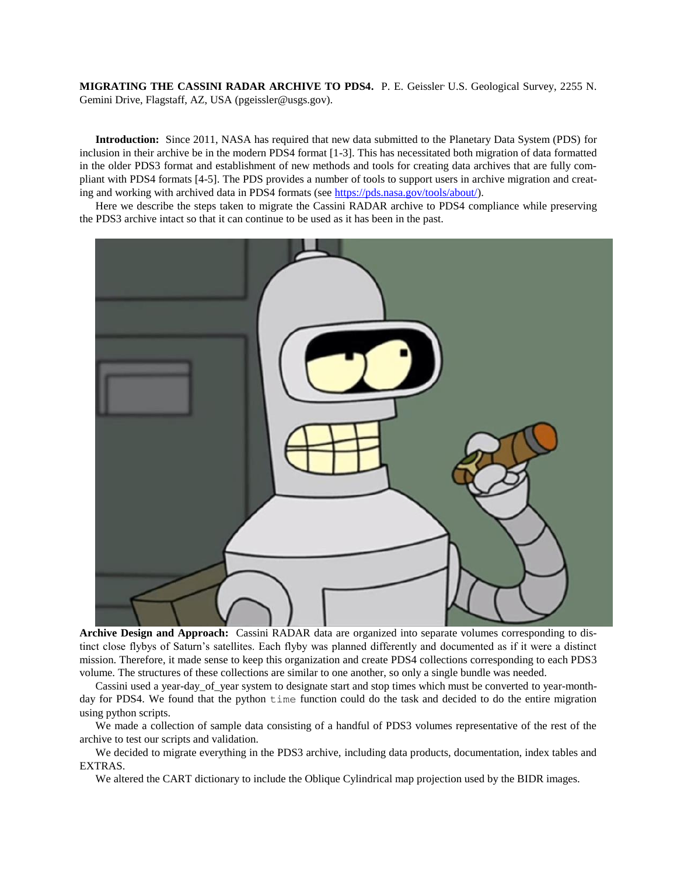MIGRATING THE CASSINI RADAR ARCHIVE TO PDS4. P. E. Geissler U.S. Geological Survey, 2255 N. Gemini Drive, Flagstaff, AZ, USA (pgeissler@usgs.gov).

**Introduction:** Since 2011, NASA has required that new data submitted to the Planetary Data System (PDS) for inclusion in their archive be in the modern PDS4 format [1-3]. This has necessitated both migration of data formatted in the older PDS3 format and establishment of new methods and tools for creating data archives that are fully compliant with PDS4 formats [4-5]. The PDS provides a number of tools to support users in archive migration and creating and working with archived data in PDS4 formats (see [https://pds.nasa.gov/tools/about/\)](https://pds.nasa.gov/tools/about/).

Here we describe the steps taken to migrate the Cassini RADAR archive to PDS4 compliance while preserving the PDS3 archive intact so that it can continue to be used as it has been in the past.



**Archive Design and Approach:** Cassini RADAR data are organized into separate volumes corresponding to distinct close flybys of Saturn's satellites. Each flyby was planned differently and documented as if it were a distinct mission. Therefore, it made sense to keep this organization and create PDS4 collections corresponding to each PDS3 volume. The structures of these collections are similar to one another, so only a single bundle was needed.

Cassini used a year-day\_of\_year system to designate start and stop times which must be converted to year-monthday for PDS4. We found that the python time function could do the task and decided to do the entire migration using python scripts.

We made a collection of sample data consisting of a handful of PDS3 volumes representative of the rest of the archive to test our scripts and validation.

We decided to migrate everything in the PDS3 archive, including data products, documentation, index tables and EXTRAS.

We altered the CART dictionary to include the Oblique Cylindrical map projection used by the BIDR images.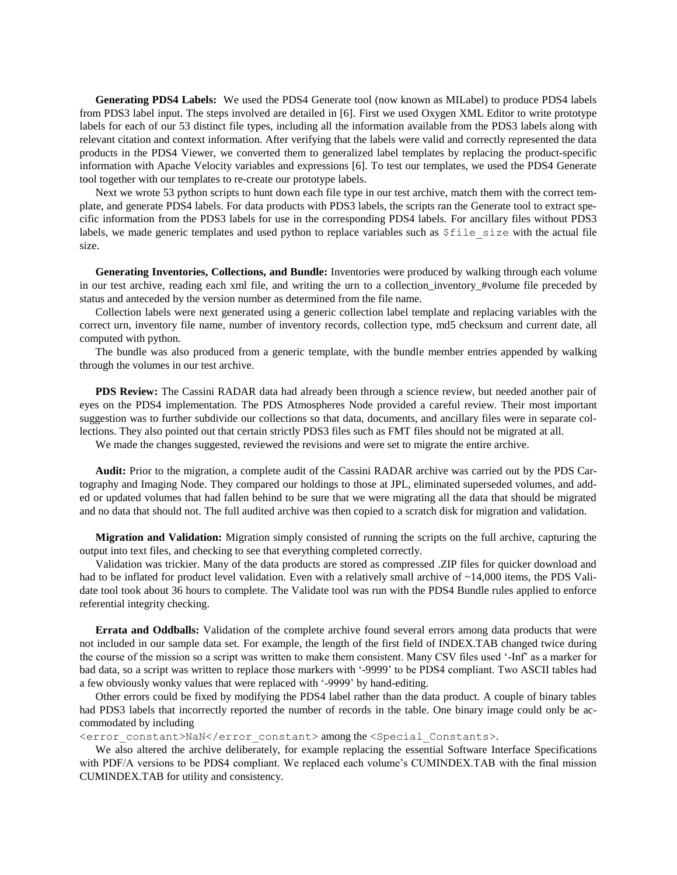**Generating PDS4 Labels:** We used the PDS4 Generate tool (now known as MILabel) to produce PDS4 labels from PDS3 label input. The steps involved are detailed in [6]. First we used Oxygen XML Editor to write prototype labels for each of our 53 distinct file types, including all the information available from the PDS3 labels along with relevant citation and context information. After verifying that the labels were valid and correctly represented the data products in the PDS4 Viewer, we converted them to generalized label templates by replacing the product-specific information with Apache Velocity variables and expressions [6]. To test our templates, we used the PDS4 Generate tool together with our templates to re-create our prototype labels.

Next we wrote 53 python scripts to hunt down each file type in our test archive, match them with the correct template, and generate PDS4 labels. For data products with PDS3 labels, the scripts ran the Generate tool to extract specific information from the PDS3 labels for use in the corresponding PDS4 labels. For ancillary files without PDS3 labels, we made generic templates and used python to replace variables such as  $$file_size$  with the actual file size.

**Generating Inventories, Collections, and Bundle:** Inventories were produced by walking through each volume in our test archive, reading each xml file, and writing the urn to a collection\_inventory\_#volume file preceded by status and anteceded by the version number as determined from the file name.

Collection labels were next generated using a generic collection label template and replacing variables with the correct urn, inventory file name, number of inventory records, collection type, md5 checksum and current date, all computed with python.

The bundle was also produced from a generic template, with the bundle member entries appended by walking through the volumes in our test archive.

**PDS Review:** The Cassini RADAR data had already been through a science review, but needed another pair of eyes on the PDS4 implementation. The PDS Atmospheres Node provided a careful review. Their most important suggestion was to further subdivide our collections so that data, documents, and ancillary files were in separate collections. They also pointed out that certain strictly PDS3 files such as FMT files should not be migrated at all.

We made the changes suggested, reviewed the revisions and were set to migrate the entire archive.

**Audit:** Prior to the migration, a complete audit of the Cassini RADAR archive was carried out by the PDS Cartography and Imaging Node. They compared our holdings to those at JPL, eliminated superseded volumes, and added or updated volumes that had fallen behind to be sure that we were migrating all the data that should be migrated and no data that should not. The full audited archive was then copied to a scratch disk for migration and validation.

**Migration and Validation:** Migration simply consisted of running the scripts on the full archive, capturing the output into text files, and checking to see that everything completed correctly.

Validation was trickier. Many of the data products are stored as compressed .ZIP files for quicker download and had to be inflated for product level validation. Even with a relatively small archive of ~14,000 items, the PDS Validate tool took about 36 hours to complete. The Validate tool was run with the PDS4 Bundle rules applied to enforce referential integrity checking.

**Errata and Oddballs:** Validation of the complete archive found several errors among data products that were not included in our sample data set. For example, the length of the first field of INDEX.TAB changed twice during the course of the mission so a script was written to make them consistent. Many CSV files used '-Inf' as a marker for bad data, so a script was written to replace those markers with '-9999' to be PDS4 compliant. Two ASCII tables had a few obviously wonky values that were replaced with '-9999' by hand-editing.

Other errors could be fixed by modifying the PDS4 label rather than the data product. A couple of binary tables had PDS3 labels that incorrectly reported the number of records in the table. One binary image could only be accommodated by including

<error\_constant>NaN</error\_constant> among the <Special\_Constants>.

We also altered the archive deliberately, for example replacing the essential Software Interface Specifications with PDF/A versions to be PDS4 compliant. We replaced each volume's CUMINDEX.TAB with the final mission CUMINDEX.TAB for utility and consistency.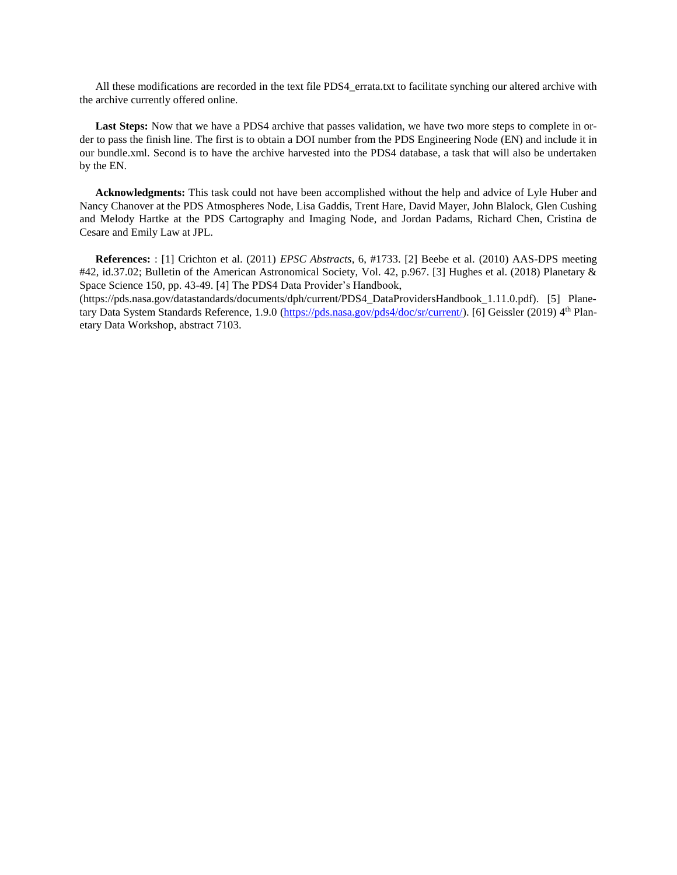All these modifications are recorded in the text file PDS4 errata.txt to facilitate synching our altered archive with the archive currently offered online.

**Last Steps:** Now that we have a PDS4 archive that passes validation, we have two more steps to complete in order to pass the finish line. The first is to obtain a DOI number from the PDS Engineering Node (EN) and include it in our bundle.xml. Second is to have the archive harvested into the PDS4 database, a task that will also be undertaken by the EN.

**Acknowledgments:** This task could not have been accomplished without the help and advice of Lyle Huber and Nancy Chanover at the PDS Atmospheres Node, Lisa Gaddis, Trent Hare, David Mayer, John Blalock, Glen Cushing and Melody Hartke at the PDS Cartography and Imaging Node, and Jordan Padams, Richard Chen, Cristina de Cesare and Emily Law at JPL.

**References:** : [1] Crichton et al. (2011) *EPSC Abstracts*, 6, #1733. [2] Beebe et al. (2010) AAS-DPS meeting #42, id.37.02; Bulletin of the American Astronomical Society, Vol. 42, p.967. [3] Hughes et al. (2018) Planetary & Space Science 150, pp. 43-49. [4] The PDS4 Data Provider's Handbook,

(https://pds.nasa.gov/datastandards/documents/dph/current/PDS4\_DataProvidersHandbook\_1.11.0.pdf). [5] Plane-tary Data System Standards Reference, 1.9.0 [\(https://pds.nasa.gov/pds4/doc/sr/current/\)](https://pds.nasa.gov/pds4/doc/sr/current/). [6] Geissler (2019) 4<sup>th</sup> Planetary Data Workshop, abstract 7103.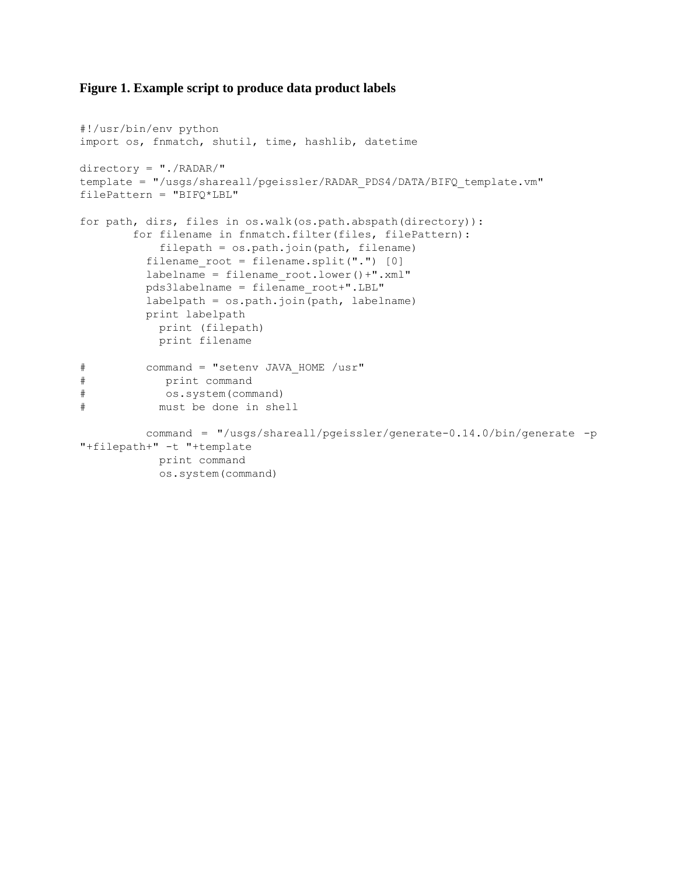# **Figure 1. Example script to produce data product labels**

```
#!/usr/bin/env python
import os, fnmatch, shutil, time, hashlib, datetime
directory = "./RADAR/"
template = "/usgs/shareall/pgeissler/RADAR_PDS4/DATA/BIFQ_template.vm"
filePattern = "BIFQ*LBL"
for path, dirs, files in os.walk(os.path.abspath(directory)):
        for filename in fnmatch.filter(files, filePattern):
            filepath = os.path.join(path, filename)
         filename root = filename.split("."] [0] labelname = filename_root.lower()+".xml"
          pds3labelname = filename_root+".LBL"
          labelpath = os.path.join(path, labelname)
          print labelpath
            print (filepath)
            print filename
# command = "setenv JAVA_HOME /usr"
# print command
# os.system(command)
# must be done in shell
          command = "/usgs/shareall/pgeissler/generate-0.14.0/bin/generate -p 
"+filepath+" -t "+template
            print command
            os.system(command)
```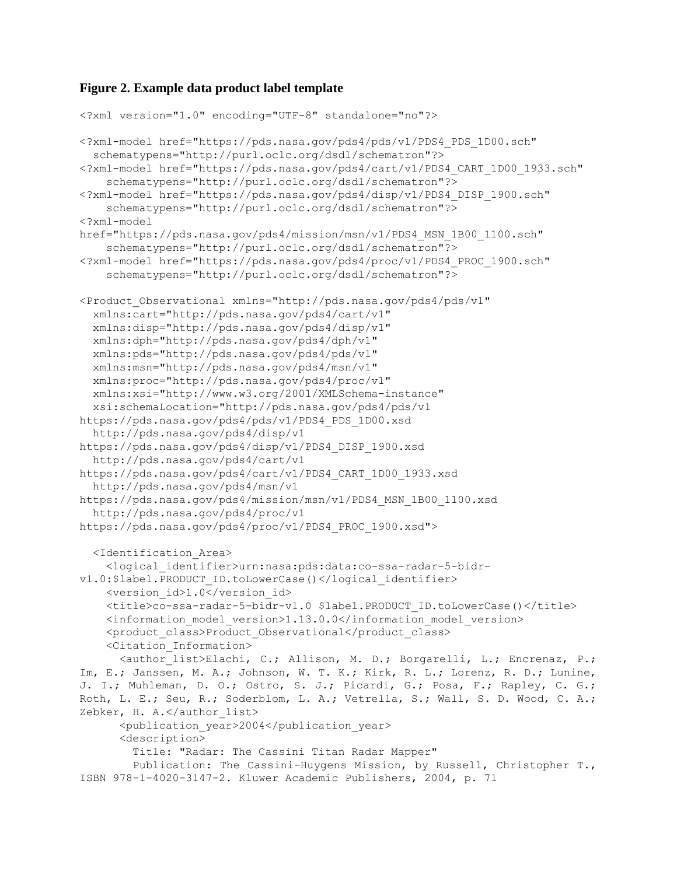# **Figure 2. Example data product label template**

```
<?xml version="1.0" encoding="UTF-8" standalone="no"?>
<?xml-model href="https://pds.nasa.gov/pds4/pds/v1/PDS4_PDS_1D00.sch"
   schematypens="http://purl.oclc.org/dsdl/schematron"?>
<?xml-model href="https://pds.nasa.gov/pds4/cart/v1/PDS4_CART_1D00_1933.sch"
     schematypens="http://purl.oclc.org/dsdl/schematron"?>
<?xml-model href="https://pds.nasa.gov/pds4/disp/v1/PDS4_DISP_1900.sch"
     schematypens="http://purl.oclc.org/dsdl/schematron"?>
<?xml-model 
href="https://pds.nasa.gov/pds4/mission/msn/v1/PDS4_MSN_1B00_1100.sch" 
     schematypens="http://purl.oclc.org/dsdl/schematron"?>
<?xml-model href="https://pds.nasa.gov/pds4/proc/v1/PDS4_PROC_1900.sch" 
     schematypens="http://purl.oclc.org/dsdl/schematron"?>
<Product_Observational xmlns="http://pds.nasa.gov/pds4/pds/v1" 
   xmlns:cart="http://pds.nasa.gov/pds4/cart/v1" 
   xmlns:disp="http://pds.nasa.gov/pds4/disp/v1" 
   xmlns:dph="http://pds.nasa.gov/pds4/dph/v1" 
   xmlns:pds="http://pds.nasa.gov/pds4/pds/v1" 
   xmlns:msn="http://pds.nasa.gov/pds4/msn/v1"
   xmlns:proc="http://pds.nasa.gov/pds4/proc/v1"
   xmlns:xsi="http://www.w3.org/2001/XMLSchema-instance" 
   xsi:schemaLocation="http://pds.nasa.gov/pds4/pds/v1 
https://pds.nasa.gov/pds4/pds/v1/PDS4_PDS_1D00.xsd 
  http://pds.nasa.gov/pds4/disp/v1 
https://pds.nasa.gov/pds4/disp/v1/PDS4_DISP_1900.xsd 
   http://pds.nasa.gov/pds4/cart/v1 
https://pds.nasa.gov/pds4/cart/v1/PDS4_CART_1D00_1933.xsd
   http://pds.nasa.gov/pds4/msn/v1 
https://pds.nasa.gov/pds4/mission/msn/v1/PDS4_MSN_1B00_1100.xsd
   http://pds.nasa.gov/pds4/proc/v1 
https://pds.nasa.gov/pds4/proc/v1/PDS4_PROC_1900.xsd">
   <Identification_Area>
     <logical_identifier>urn:nasa:pds:data:co-ssa-radar-5-bidr-
v1.0:$label.PRODUCT_ID.toLowerCase()</logical_identifier>
    <version_id>1.0</version_id>
     <title>co-ssa-radar-5-bidr-v1.0 $label.PRODUCT_ID.toLowerCase()</title>
     <information_model_version>1.13.0.0</information_model_version>
     <product_class>Product_Observational</product_class>
     <Citation_Information> 
       <author_list>Elachi, C.; Allison, M. D.; Borgarelli, L.; Encrenaz, P.; 
Im, E.; Janssen, M. A.; Johnson, W. T. K.; Kirk, R. L.; Lorenz, R. D.; Lunine,
J. I.; Muhleman, D. O.; Ostro, S. J.; Picardi, G.; Posa, F.; Rapley, C. G.; 
Roth, L. E.; Seu, R.; Soderblom, L. A.; Vetrella, S.; Wall, S. D. Wood, C. A.;
Zebker, H. A.</author list>
       <publication_year>2004</publication_year>
       <description>
         Title: "Radar: The Cassini Titan Radar Mapper"
         Publication: The Cassini-Huygens Mission, by Russell, Christopher T., 
ISBN 978-1-4020-3147-2. Kluwer Academic Publishers, 2004, p. 71
```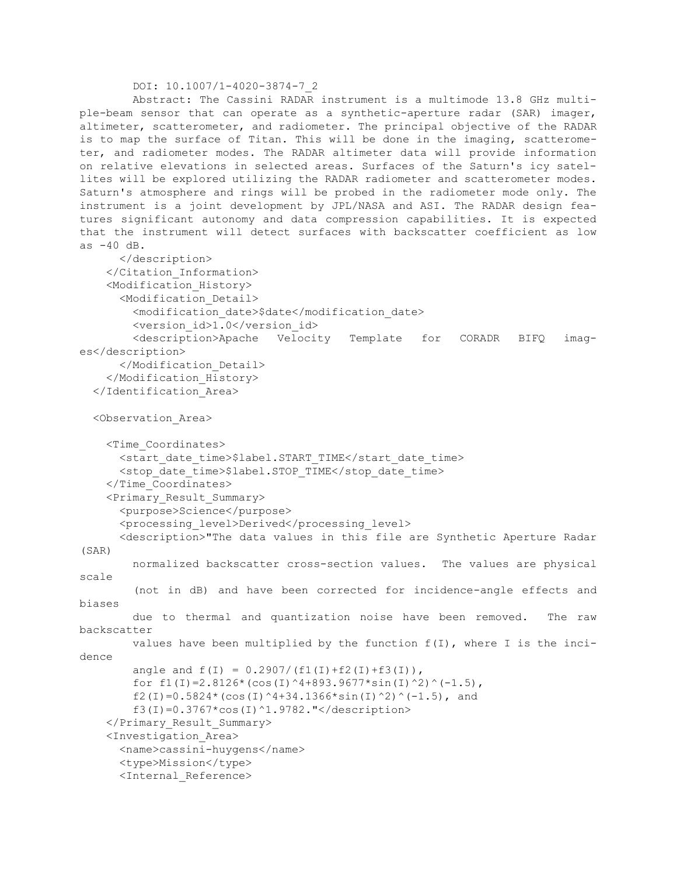#### DOI: 10.1007/1-4020-3874-7\_2

```
 Abstract: The Cassini RADAR instrument is a multimode 13.8 GHz multi-
ple-beam sensor that can operate as a synthetic-aperture radar (SAR) imager, 
altimeter, scatterometer, and radiometer. The principal objective of the RADAR
is to map the surface of Titan. This will be done in the imaging, scatterome-
ter, and radiometer modes. The RADAR altimeter data will provide information 
on relative elevations in selected areas. Surfaces of the Saturn's icy satel-
lites will be explored utilizing the RADAR radiometer and scatterometer modes.
Saturn's atmosphere and rings will be probed in the radiometer mode only. The 
instrument is a joint development by JPL/NASA and ASI. The RADAR design fea-
tures significant autonomy and data compression capabilities. It is expected 
that the instrument will detect surfaces with backscatter coefficient as low 
as -40 dB.
       </description>
     </Citation_Information>
     <Modification_History>
       <Modification_Detail>
         <modification_date>$date</modification_date>
        <version_id>1.0</version_id>
         <description>Apache Velocity Template for CORADR BIFQ imag-
es</description>
       </Modification_Detail>
     </Modification_History>
   </Identification_Area>
   <Observation_Area>
     <Time_Coordinates>
      <start date time>$label.START_TIME</start_date_time>
      <stop_date_time>$label.STOP_TIME</stop_date_time>
     </Time_Coordinates>
     <Primary_Result_Summary>
       <purpose>Science</purpose>
       <processing_level>Derived</processing_level>
       <description>"The data values in this file are Synthetic Aperture Radar 
(SAR) 
         normalized backscatter cross-section values. The values are physical 
scale 
         (not in dB) and have been corrected for incidence-angle effects and 
biases 
        due to thermal and quantization noise have been removed. The raw 
backscatter 
        values have been multiplied by the function f(I), where I is the inci-
dence 
        angle and f(I) = 0.2907/(f1(I) + f2(I) + f3(I)),for f1(I)=2.8126*(cos(I)^4+893.9677*sin(I)^2)^(-1.5),
        f2(I)=0.5824*(cos(I)^4+34.1366*sin(I)^2)^(-1.5), and
         f3(I)=0.3767*cos(I)^1.9782."</description>
     </Primary_Result_Summary>
     <Investigation_Area>
       <name>cassini-huygens</name>
       <type>Mission</type>
       <Internal_Reference>
```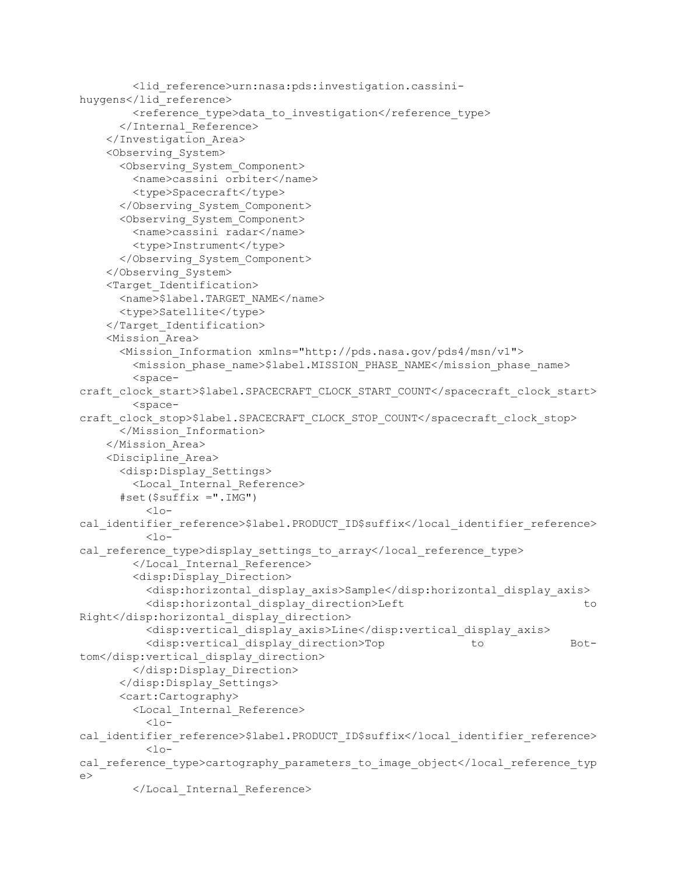```
 <lid_reference>urn:nasa:pds:investigation.cassini-
huygens</lid_reference>
        <reference type>data to investigation</reference type>
       </Internal_Reference>
     </Investigation_Area>
     <Observing_System>
       <Observing_System_Component>
         <name>cassini orbiter</name>
         <type>Spacecraft</type>
       </Observing_System_Component>
       <Observing_System_Component>
         <name>cassini radar</name>
         <type>Instrument</type>
       </Observing_System_Component>
     </Observing_System>
     <Target_Identification>
       <name>$label.TARGET_NAME</name>
       <type>Satellite</type>
     </Target_Identification>
     <Mission_Area>
       <Mission_Information xmlns="http://pds.nasa.gov/pds4/msn/v1">
         <mission_phase_name>$label.MISSION_PHASE_NAME</mission_phase_name>
         <space-
craft_clock_start>$label.SPACECRAFT_CLOCK_START_COUNT</spacecraft_clock_start>
         <space-
craft_clock_stop>$label.SPACECRAFT_CLOCK_STOP_COUNT</spacecraft_clock_stop>
       </Mission_Information>
     </Mission_Area>
     <Discipline_Area>
       <disp:Display_Settings>
         <Local_Internal_Reference>
      #set($suffix =".IMG")
          10-cal_identifier_reference>$label.PRODUCT_ID$suffix</local_identifier_reference>
          10-cal reference type>display settings to array</local reference type>
         </Local_Internal_Reference>
         <disp:Display_Direction>
           <disp:horizontal_display_axis>Sample</disp:horizontal_display_axis>
           <disp:horizontal_display_direction>Left to 
Right</disp:horizontal_display_direction>
           <disp:vertical_display_axis>Line</disp:vertical_display_axis>
           <disp:vertical_display_direction>Top to Bot-
tom</disp:vertical_display_direction>
         </disp:Display_Direction>
       </disp:Display_Settings> 
       <cart:Cartography>
         <Local_Internal_Reference>
          <sub>10</sub></sub>
cal_identifier_reference>$label.PRODUCT_ID$suffix</local_identifier_reference>
          <sub>10</sub></sub>
cal reference type>cartography parameters to image object</local reference typ
\Rightarrow </Local_Internal_Reference>
```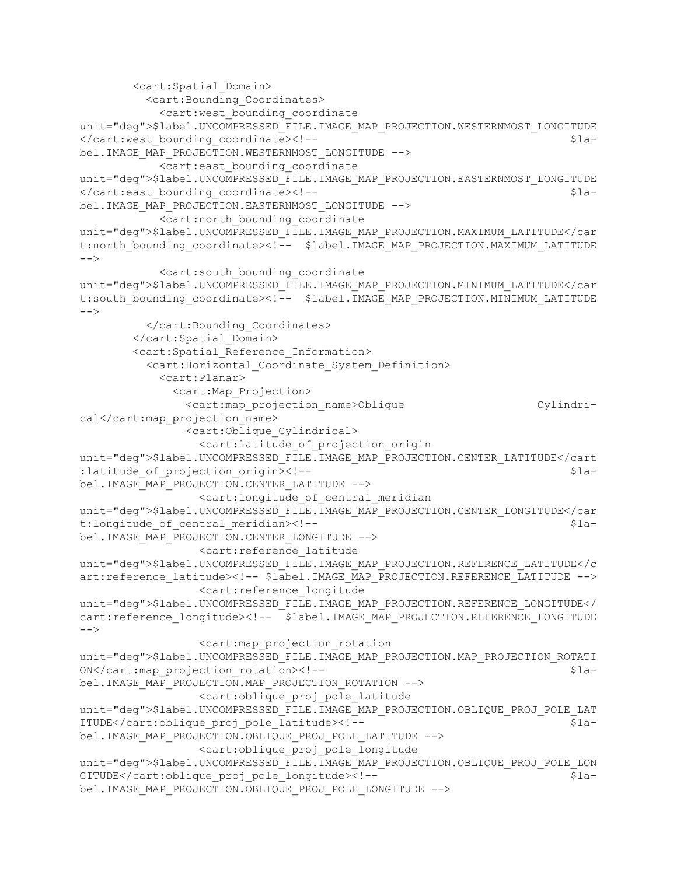```
 <cart:Spatial_Domain>
           <cart:Bounding_Coordinates>
             <cart:west_bounding_coordinate 
unit="deg">$label.UNCOMPRESSED_FILE.IMAGE_MAP_PROJECTION.WESTERNMOST_LONGITUDE
</cart:west_bounding_coordinate><!-- $la-
bel.IMAGE_MAP_PROJECTION.WESTERNMOST_LONGITUDE -->
            <cart:east_bounding_coordinate 
unit="deg">$label.UNCOMPRESSED_FILE.IMAGE_MAP_PROJECTION.EASTERNMOST_LONGITUDE
</cart:east_bounding_coordinate><!-- $la-
bel.IMAGE_MAP_PROJECTION.EASTERNMOST_LONGITUDE -->
             <cart:north_bounding_coordinate 
unit="deg">$label.UNCOMPRESSED_FILE.IMAGE_MAP_PROJECTION.MAXIMUM_LATITUDE</car
t:north_bounding_coordinate><!-- $label.IMAGE_MAP_PROJECTION.MAXIMUM_LATITUDE
--& <cart:south_bounding_coordinate 
unit="deg">$label.UNCOMPRESSED_FILE.IMAGE_MAP_PROJECTION.MINIMUM_LATITUDE</car
t:south_bounding_coordinate><!-- $label.IMAGE_MAP_PROJECTION.MINIMUM_LATITUDE
-->
           </cart:Bounding_Coordinates>
         </cart:Spatial_Domain>
         <cart:Spatial_Reference_Information>
           <cart:Horizontal_Coordinate_System_Definition>
             <cart:Planar>
               <cart:Map_Projection>
                 <cart:map_projection_name>Oblique Cylindri-
cal</cart:map_projection_name>
                <cart:Oblique_Cylindrical>
                  <cart:latitude_of_projection_origin 
unit="deg">$label.UNCOMPRESSED_FILE.IMAGE_MAP_PROJECTION.CENTER_LATITUDE</cart
: latitude of projection origin><!-- \$la-
bel.IMAGE_MAP_PROJECTION.CENTER_LATITUDE -->
                   <cart:longitude_of_central_meridian 
unit="deg">$label.UNCOMPRESSED_FILE.IMAGE_MAP_PROJECTION.CENTER_LONGITUDE</car
t:longitude of central meridian><!-- \qquad \qquad \qquad \qquad \qquad \qquad \qquad \qquad \qquad \qquad \qquad \qquad \qquad \qquad \qquad \qquad \qquad \qquad \qquad \qquad \qquad \qquad \qquad \qquad \qquad \qquad \qquad \qquad \qquad \qquad \qquadbel.IMAGE_MAP_PROJECTION.CENTER_LONGITUDE -->
                  <cart:reference_latitude 
unit="deg">$label.UNCOMPRESSED_FILE.IMAGE_MAP_PROJECTION.REFERENCE_LATITUDE</c
art:reference_latitude><!-- $label.IMAGE_MAP_PROJECTION.REFERENCE_LATITUDE -->
                  <cart:reference_longitude 
unit="deg">$label.UNCOMPRESSED_FILE.IMAGE_MAP_PROJECTION.REFERENCE_LONGITUDE</
cart:reference_longitude><!-- \bar{s}label.IMAGE_MAP_PROJECTION.REFERENCE_LONGITUDE
--& <cart:map_projection_rotation 
unit="deg">$label.UNCOMPRESSED_FILE.IMAGE_MAP_PROJECTION.MAP_PROJECTION_ROTATI
ON</cart:map_projection_rotation><!-- $la-
bel.IMAGE_MAP_PROJECTION.MAP_PROJECTION_ROTATION -->
                   <cart:oblique_proj_pole_latitude 
unit="deg">$label.UNCOMPRESSED_FILE.IMAGE_MAP_PROJECTION.OBLIQUE_PROJ_POLE_LAT
ITUDE</cart:oblique proj pole latitude><!-- $la-
bel.IMAGE_MAP_PROJECTION.OBLIQUE_PROJ_POLE_LATITUDE -->
                   <cart:oblique_proj_pole_longitude 
unit="deg">$label.UNCOMPRESSED_FILE.IMAGE_MAP_PROJECTION.OBLIQUE_PROJ_POLE_LON
GITUDE</cart:oblique_proj_pole_longitude><!-- $la-
bel.IMAGE_MAP_PROJECTION.OBLIQUE_PROJ_POLE_LONGITUDE -->
```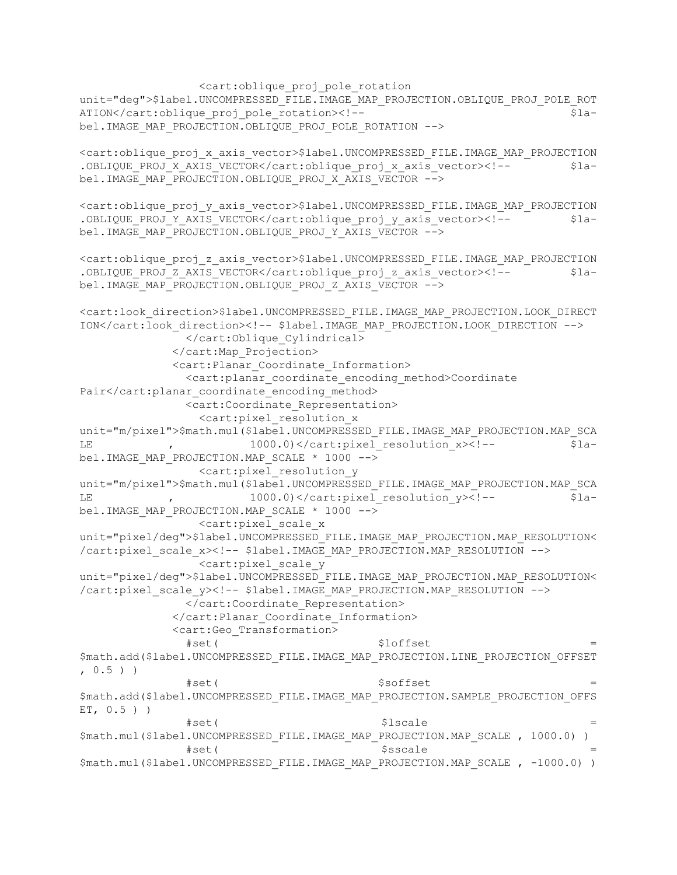<cart:oblique\_proj\_pole\_rotation unit="deg">\$label.UNCOMPRESSED\_FILE.IMAGE\_MAP\_PROJECTION.OBLIQUE\_PROJ\_POLE\_ROT ATION</cart:oblique proj pole rotation><!-- \$label.IMAGE\_MAP\_PROJECTION.OBLIQUE\_PROJ\_POLE\_ROTATION -->

<cart:oblique\_proj\_x\_axis\_vector>\$label.UNCOMPRESSED\_FILE.IMAGE\_MAP\_PROJECTION .OBLIQUE\_PROJ\_X\_AXIS\_VECTOR</cart:oblique\_proj\_x\_axis\_vector><!-- \$label.IMAGE\_MAP\_PROJECTION.OBLIQUE\_PROJ\_X\_AXIS\_VECTOR -->

<cart:oblique\_proj\_y\_axis\_vector>\$label.UNCOMPRESSED\_FILE.IMAGE\_MAP\_PROJECTION .OBLIQUE PROJ Y AXIS VECTOR</cart:oblique proj y axis vector><!-- \$label.IMAGE\_MAP\_PROJECTION.OBLIQUE\_PROJ\_Y\_AXIS\_VECTOR -->

<cart:oblique\_proj\_z\_axis\_vector>\$label.UNCOMPRESSED\_FILE.IMAGE\_MAP\_PROJECTION .OBLIQUE PROJ Z AXIS VECTOR</cart:oblique proj z axis vector><!-- \$label.IMAGE\_MAP\_PROJECTION.OBLIQUE\_PROJ\_Z\_AXIS\_VECTOR -->

<cart:look\_direction>\$label.UNCOMPRESSED\_FILE.IMAGE\_MAP\_PROJECTION.LOOK\_DIRECT ION</cart:look\_direction><!-- \$label.IMAGE\_MAP\_PROJECTION.LOOK\_DIRECTION --> </cart:Oblique\_Cylindrical> </cart:Map\_Projection> <cart:Planar\_Coordinate\_Information> <cart:planar\_coordinate\_encoding\_method>Coordinate Pair</cart:planar\_coordinate\_encoding\_method> <cart:Coordinate\_Representation> <cart:pixel\_resolution\_x unit="m/pixel">\$math.mul(\$label.UNCOMPRESSED\_FILE.IMAGE\_MAP\_PROJECTION.MAP\_SCA LE ,  $1000.0)$  </cart:pixel resolution x><!-- \$label.IMAGE\_MAP\_PROJECTION.MAP\_SCALE \* 1000 --> <cart:pixel\_resolution\_y unit="m/pixel">\$math.mul(\$label.UNCOMPRESSED\_FILE.IMAGE\_MAP\_PROJECTION.MAP\_SCA LE , 1000.0)</cart:pixel\_resolution\_y><!-- \$label.IMAGE\_MAP\_PROJECTION.MAP\_SCALE \* 1000 --> <cart:pixel\_scale\_x unit="pixel/deg">\$label.UNCOMPRESSED\_FILE.IMAGE\_MAP\_PROJECTION.MAP\_RESOLUTION< /cart:pixel\_scale\_x><!-- \$label.IMAGE\_MAP\_PROJECTION.MAP\_RESOLUTION --> <cart:pixel\_scale\_y unit="pixel/deg">\$label.UNCOMPRESSED\_FILE.IMAGE\_MAP\_PROJECTION.MAP\_RESOLUTION< /cart:pixel scale y><!-- \$label.IMAGE MAP PROJECTION.MAP RESOLUTION --> </cart:Coordinate\_Representation> </cart:Planar\_Coordinate\_Information> <cart:Geo\_Transformation> #set( \$loffset = \$math.add(\$label.UNCOMPRESSED\_FILE.IMAGE\_MAP\_PROJECTION.LINE\_PROJECTION\_OFFSET  $, 0.5$ ) ) #set( \$soffset = \$math.add(\$label.UNCOMPRESSED\_FILE.IMAGE\_MAP\_PROJECTION.SAMPLE\_PROJECTION\_OFFS ET, 0.5 ) )  $#set($ \$math.mul(\$label.UNCOMPRESSED\_FILE.IMAGE\_MAP\_PROJECTION.MAP\_SCALE , 1000.0) )  $#set($ \$math.mul(\$label.UNCOMPRESSED\_FILE.IMAGE\_MAP\_PROJECTION.MAP\_SCALE , -1000.0) )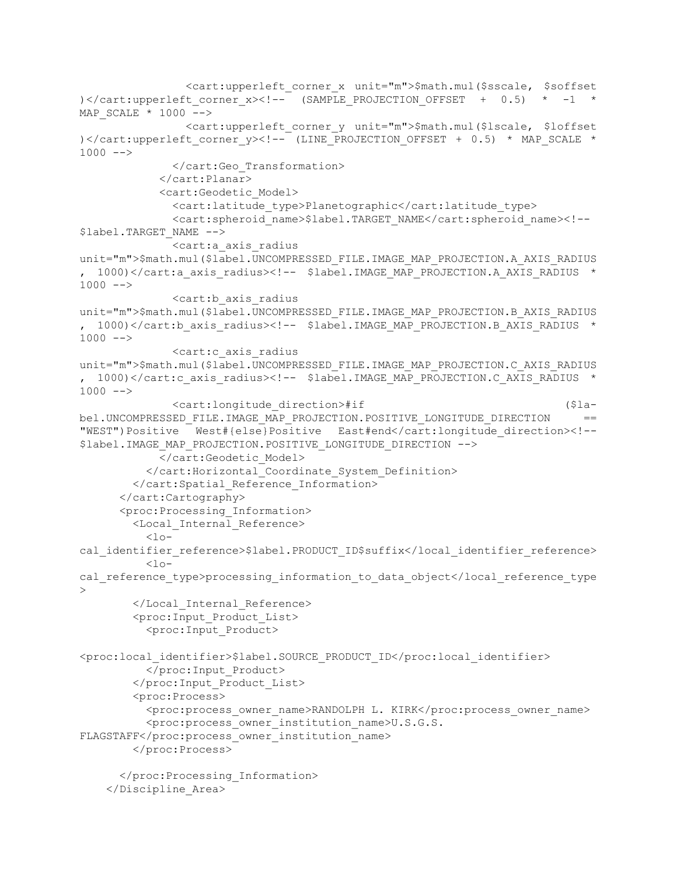<cart:upperleft\_corner\_x unit="m">\$math.mul(\$sscale, \$soffset )</cart:upperleft\_corner\_x><!-- (SAMPLE\_PROJECTION\_OFFSET +  $0.5$ ) \* -1 \* MAP SCALE  $*$  1000 --> <cart:upperleft\_corner\_y unit="m">\$math.mul(\$lscale, \$loffset )</cart:upperleft\_corner\_y><!-- (LINE\_PROJECTION\_OFFSET + 0.5) \* MAP\_SCALE \*  $1000$   $\leftarrow$  </cart:Geo\_Transformation> </cart:Planar> <cart:Geodetic\_Model> <cart:latitude\_type>Planetographic</cart:latitude\_type> <cart:spheroid\_name>\$label.TARGET\_NAME</cart:spheroid\_name><!-- \$label.TARGET\_NAME --> <cart:a\_axis\_radius unit="m">\$math.mul(\$label.UNCOMPRESSED\_FILE.IMAGE\_MAP\_PROJECTION.A\_AXIS\_RADIUS , 1000)</cart:a\_axis\_radius><!-- \$label.IMAGE\_MAP\_PROJECTION.A\_AXIS\_RADIUS \*  $1000$   $\leftarrow$  <cart:b\_axis\_radius unit="m">\$math.mul(\$label.UNCOMPRESSED\_FILE.IMAGE\_MAP\_PROJECTION.B\_AXIS\_RADIUS , 1000)</cart:b\_axis\_radius><!-- \$label.IMAGE\_MAP\_PROJECTION.B\_AXIS\_RADIUS \*  $1000$   $--$  <cart:c\_axis\_radius unit="m">\$math.mul(\$label.UNCOMPRESSED\_FILE.IMAGE\_MAP\_PROJECTION.C\_AXIS\_RADIUS , 1000)</cart:c\_axis\_radius><!-- \$label.IMAGE\_MAP\_PROJECTION.C\_AXIS\_RADIUS \*  $1000$   $\leftarrow$  <cart:longitude\_direction>#if (\$label.UNCOMPRESSED\_FILE.IMAGE\_MAP\_PROJECTION.POSITIVE\_LONGITUDE\_DIRECTION == "WEST")Positive West#{else}Positive East#end</cart:longitude\_direction><!-- \$label.IMAGE\_MAP\_PROJECTION.POSITIVE\_LONGITUDE\_DIRECTION --> </cart:Geodetic\_Model> </cart:Horizontal\_Coordinate\_System\_Definition> </cart:Spatial\_Reference\_Information> </cart:Cartography> <proc:Processing\_Information> <Local\_Internal\_Reference>  $<10-$ cal\_identifier\_reference>\$label.PRODUCT\_ID\$suffix</local\_identifier\_reference>  $10$ cal reference type>processing information to data object</local reference type  $\rightarrow$  </Local\_Internal\_Reference> <proc:Input\_Product\_List> <proc:Input\_Product> <proc:local\_identifier>\$label.SOURCE\_PRODUCT\_ID</proc:local\_identifier> </proc:Input\_Product> </proc:Input\_Product\_List> <proc:Process> <proc:process\_owner\_name>RANDOLPH L. KIRK</proc:process\_owner\_name> <proc:process\_owner\_institution\_name>U.S.G.S. FLAGSTAFF</proc:process\_owner\_institution\_name> </proc:Process> </proc:Processing\_Information> </Discipline\_Area>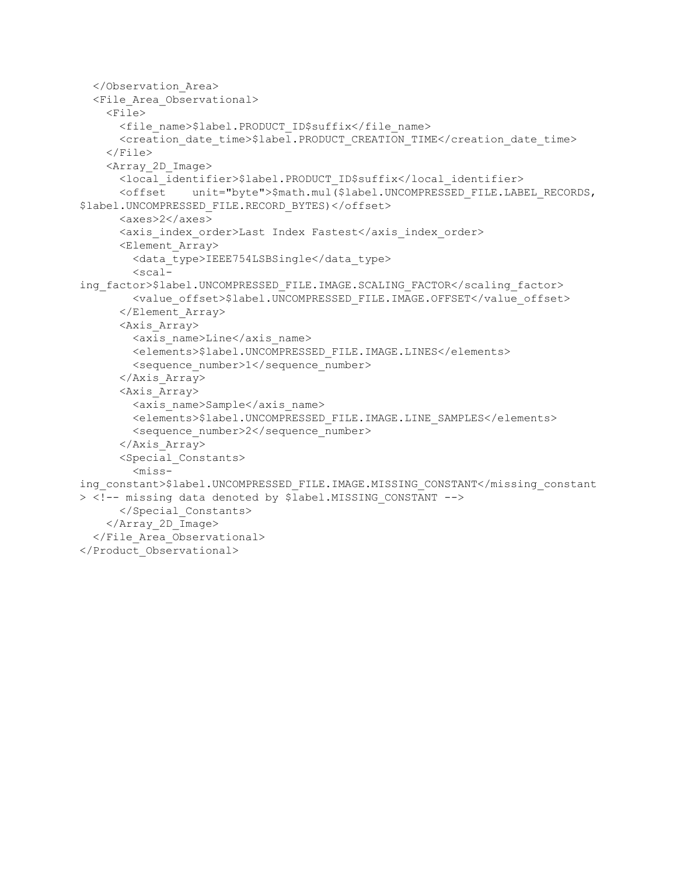```
 </Observation_Area>
   <File_Area_Observational>
     <File>
       <file_name>$label.PRODUCT_ID$suffix</file_name>
       <creation_date_time>$label.PRODUCT_CREATION_TIME</creation_date_time>
     </File>
     <Array_2D_Image>
       <local_identifier>$label.PRODUCT_ID$suffix</local_identifier>
       <offset unit="byte">$math.mul($label.UNCOMPRESSED_FILE.LABEL_RECORDS, 
$label.UNCOMPRESSED_FILE.RECORD_BYTES)</offset>
       <axes>2</axes>
       <axis_index_order>Last Index Fastest</axis_index_order>
       <Element_Array>
         <data_type>IEEE754LSBSingle</data_type>
        <scal-
ing_factor>$label.UNCOMPRESSED_FILE.IMAGE.SCALING_FACTOR</scaling_factor>
         <value_offset>$label.UNCOMPRESSED_FILE.IMAGE.OFFSET</value_offset>
       </Element_Array>
       <Axis_Array>
         <axis_name>Line</axis_name>
         <elements>$label.UNCOMPRESSED_FILE.IMAGE.LINES</elements>
         <sequence_number>1</sequence_number>
       </Axis_Array>
       <Axis_Array>
         <axis_name>Sample</axis_name>
         <elements>$label.UNCOMPRESSED_FILE.IMAGE.LINE_SAMPLES</elements>
         <sequence_number>2</sequence_number>
       </Axis_Array>
       <Special_Constants>
        <miss-
ing_constant>$label.UNCOMPRESSED_FILE.IMAGE.MISSING_CONSTANT</missing_constant
> <!-- missing data denoted by $label.MISSING_CONSTANT -->
       </Special_Constants>
    \langleArray 2D Image>
   </File_Area_Observational>
</Product_Observational>
```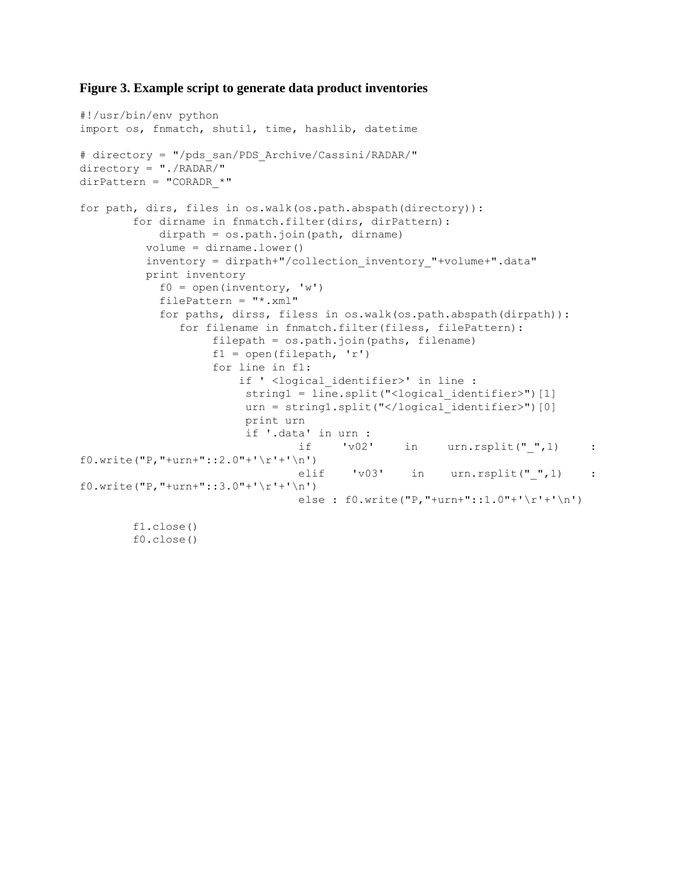## **Figure 3. Example script to generate data product inventories**

```
#!/usr/bin/env python
import os, fnmatch, shutil, time, hashlib, datetime
# directory = "/pds_san/PDS_Archive/Cassini/RADAR/"
directory = "./RADAR/"
dirPattern = "CORADR *"
for path, dirs, files in os.walk(os.path.abspath(directory)):
        for dirname in fnmatch.filter(dirs, dirPattern):
            dirpath = os.path.join(path, dirname)
          volume = dirname.lower()
          inventory = dirpath+"/collection_inventory_"+volume+".data"
          print inventory
           f0 = open(inventory, 'w')filePattern = "*.xml" for paths, dirss, filess in os.walk(os.path.abspath(dirpath)):
              for filename in fnmatch.filter(filess, filePattern):
                   filepath = os.path.join(path, filename)f1 = open(filepath, 'r')for line in f1:
                       if ' <logical identifier>' in line :
                        string1 = line.split("<logical identifier>")[1]
                        urn = string1.split("</logical_identifier>")[0]
                         print urn
                         if '.data' in urn :
                                if 'v02' in urn.rsplit("",1) :
f0.write("P,"+urn+"::2.0"+'\r'+'\n')
                                elif 'v03' in urn.rsplit("",1) :
f0.write("P,"+urn+"::3.0"+'\r'+'\n')
                                else : f0.write("P,"+urn+"::1.0"+'\r'+'\n')
        f1.close()
        f0.close()
```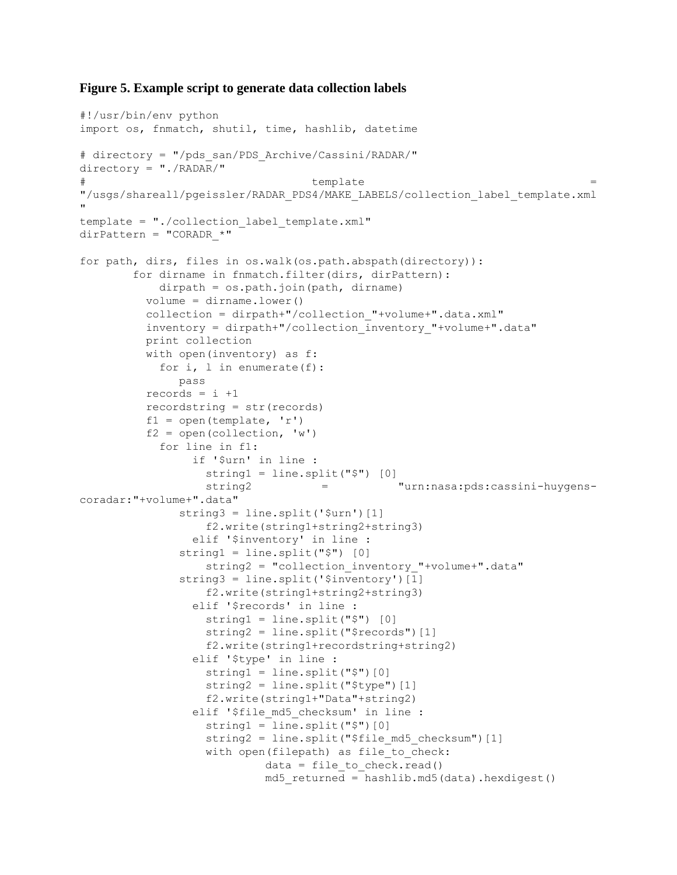### **Figure 5. Example script to generate data collection labels**

```
#!/usr/bin/env python
import os, fnmatch, shutil, time, hashlib, datetime
# directory = "/pds_san/PDS_Archive/Cassini/RADAR/"
directory = "./RADAR/"
# template = 
"/usgs/shareall/pgeissler/RADAR_PDS4/MAKE_LABELS/collection_label_template.xml
"
template = "./collection_label_template.xml"
dirPattern = "CORADR *"
for path, dirs, files in os.walk(os.path.abspath(directory)):
        for dirname in fnmatch.filter(dirs, dirPattern):
            dirpath = os.path.join(path, dirname)
          volume = dirname.lower()
          collection = dirpath+"/collection_"+volume+".data.xml"
          inventory = dirpath+"/collection_inventory_"+volume+".data"
          print collection
          with open(inventory) as f:
            for i, l in enumerate(f):
               pass
         records = i + 1 recordstring = str(records)
         f1 = open(template, 'r')f2 = open(collections, 'w') for line in f1:
                 if '$urn' in line :
                   string1 = line.split("$") [0]
                  string2 = "urn:nasa:pds:cassini-huygens-
coradar:"+volume+".data"
              string3 = line.split('$urn')[1]
                   f2.write(string1+string2+string3) 
                 elif '$inventory' in line :
               string1 = line.split("$") [0]
                  string2 = "collection inventory "+volume+".data"
              string3 = line.split('$inventory')[1]
                   f2.write(string1+string2+string3)
                 elif '$records' in line :
                  string1 = line.split("$") [0]string2 = line.split("$records")[1]
                  f2.write(string1+recordstring+string2)
                 elif '$type' in line :
                  string1 = line.split("$") [0]string2 = line.split("$type")[1]
                  f2.write(string1+"Data"+string2)
                elif '$file md5 checksum' in line :
                  string1 = line.split("$") [0]string2 = line.split("$file md5 checksum")[1]
                  with open(filepath) as file to check:
                           data = file to check.read()
                           md5 returned = hashlib.md5(data).hexdigest()
```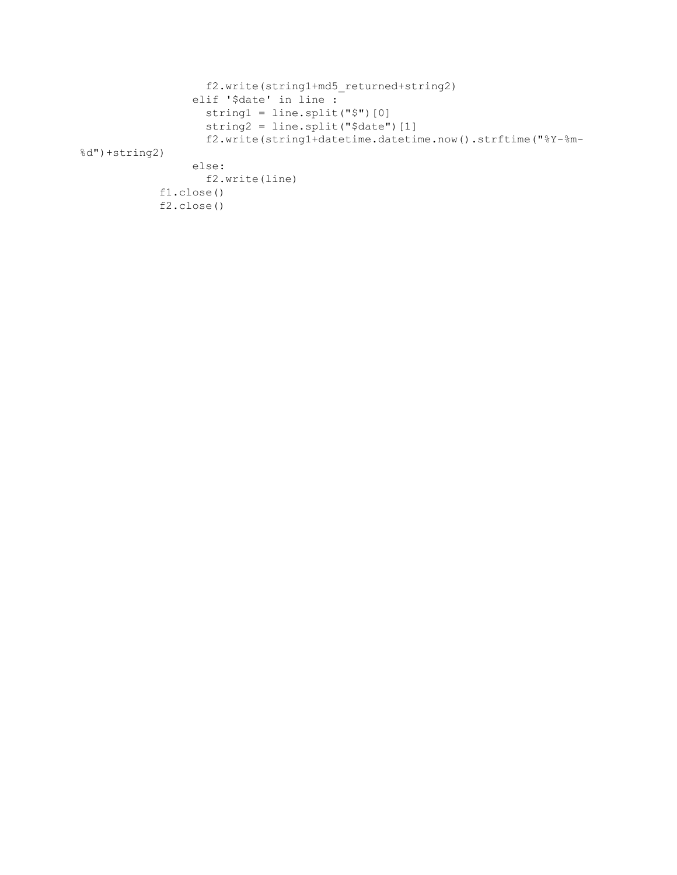```
 f2.write(string1+md5_returned+string2)
                  elif '$date' in line :
                    string1 = line.split("$")[0]
                   string2 = line.split("$date")[1]
                   f2.write(string1+datetime.datetime.now().strftime("%Y-%m-
%d")+string2)
                  else:
                    f2.write(line)
             f1.close()
             f2.close()
```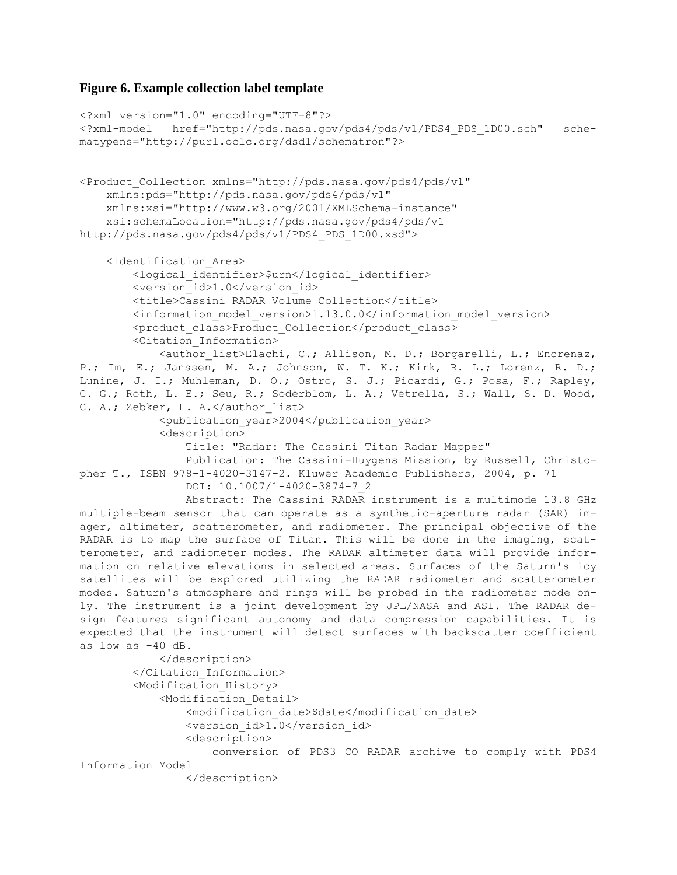# **Figure 6. Example collection label template**

```
<?xml version="1.0" encoding="UTF-8"?>
<?xml-model href="http://pds.nasa.gov/pds4/pds/v1/PDS4_PDS_1D00.sch" sche-
matypens="http://purl.oclc.org/dsdl/schematron"?>
<Product_Collection xmlns="http://pds.nasa.gov/pds4/pds/v1"
     xmlns:pds="http://pds.nasa.gov/pds4/pds/v1"
     xmlns:xsi="http://www.w3.org/2001/XMLSchema-instance"
     xsi:schemaLocation="http://pds.nasa.gov/pds4/pds/v1 
http://pds.nasa.gov/pds4/pds/v1/PDS4_PDS_1D00.xsd">
     <Identification_Area>
         <logical_identifier>$urn</logical_identifier>
         <version_id>1.0</version_id>
         <title>Cassini RADAR Volume Collection</title>
         <information_model_version>1.13.0.0</information_model_version> 
         <product_class>Product_Collection</product_class>
         <Citation_Information> 
             <author_list>Elachi, C.; Allison, M. D.; Borgarelli, L.; Encrenaz,
P.; Im, E.; Janssen, M. A.; Johnson, W. T. K.; Kirk, R. L.; Lorenz, R. D.;
Lunine, J. I.; Muhleman, D. O.; Ostro, S. J.; Picardi, G.; Posa, F.; Rapley, 
C. G.; Roth, L. E.; Seu, R.; Soderblom, L. A.; Vetrella, S.; Wall, S. D. Wood,
C. A.; Zebker, H. A.</author list>
             <publication_year>2004</publication_year>
             <description>
                 Title: "Radar: The Cassini Titan Radar Mapper"
                 Publication: The Cassini-Huygens Mission, by Russell, Christo-
pher T., ISBN 978-1-4020-3147-2. Kluwer Academic Publishers, 2004, p. 71
                 DOI: 10.1007/1-4020-3874-7_2
                 Abstract: The Cassini RADAR instrument is a multimode 13.8 GHz
multiple-beam sensor that can operate as a synthetic-aperture radar (SAR) im-
ager, altimeter, scatterometer, and radiometer. The principal objective of the
RADAR is to map the surface of Titan. This will be done in the imaging, scat-
terometer, and radiometer modes. The RADAR altimeter data will provide infor-
mation on relative elevations in selected areas. Surfaces of the Saturn's icy 
satellites will be explored utilizing the RADAR radiometer and scatterometer 
modes. Saturn's atmosphere and rings will be probed in the radiometer mode on-
ly. The instrument is a joint development by JPL/NASA and ASI. The RADAR de-
sign features significant autonomy and data compression capabilities. It is 
expected that the instrument will detect surfaces with backscatter coefficient
as low as -40 dB.
             </description>
         </Citation_Information>
         <Modification_History>
             <Modification_Detail>
                 <modification_date>$date</modification_date>
                <version_id>1.0</version_id>
                 <description>
                     conversion of PDS3 CO RADAR archive to comply with PDS4 
Information Model
                 </description>
```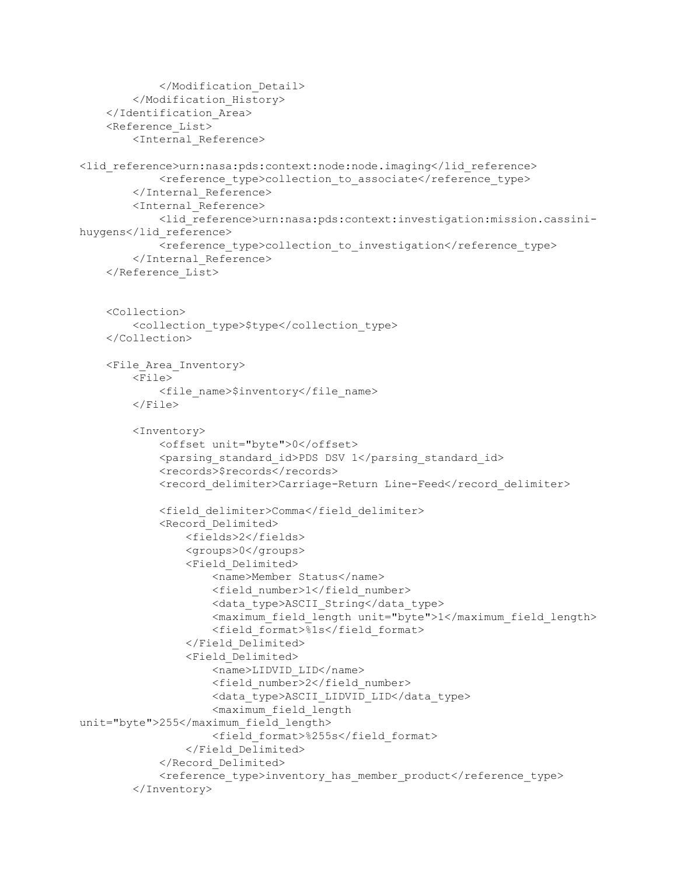```
 </Modification_Detail>
         </Modification_History>
     </Identification_Area>
     <Reference_List>
         <Internal_Reference>
<lid_reference>urn:nasa:pds:context:node:node.imaging</lid_reference>
            <reference type>collection to associate</reference type>
         </Internal_Reference>
         <Internal_Reference>
             <lid_reference>urn:nasa:pds:context:investigation:mission.cassini-
huygens</lid_reference>
            <reference type>collection to investigation</reference type>
         </Internal_Reference>
     </Reference_List>
     <Collection>
         <collection_type>$type</collection_type>
     </Collection>
     <File_Area_Inventory>
         <File>
             <file_name>$inventory</file_name>
         </File>
         <Inventory>
             <offset unit="byte">0</offset>
             <parsing_standard_id>PDS DSV 1</parsing_standard_id>
             <records>$records</records>
            <record delimiter>Carriage-Return Line-Feed</record delimiter>
             <field_delimiter>Comma</field_delimiter>
             <Record_Delimited>
                 <fields>2</fields>
                 <groups>0</groups> 
                 <Field_Delimited>
                      <name>Member Status</name>
                    <field_number>1</field_number>
                     <data_type>ASCII_String</data_type>
                    <maximum_field_length unit="byte">1</maximum_field_length>
                     <field_format>%1s</field_format>
                 </Field_Delimited>
                 <Field_Delimited>
                    <name>LIDVID_LID</name>
                     <field_number>2</field_number>
                    <data_type>ASCII_LIDVID_LID</data_type>
                    <maximum_field_length 
unit="byte">255</maximum_field_length>
                     <field_format>%255s</field_format>
                 </Field_Delimited>
             </Record_Delimited>
            <reference type>inventory has member product</reference type>
         </Inventory>
```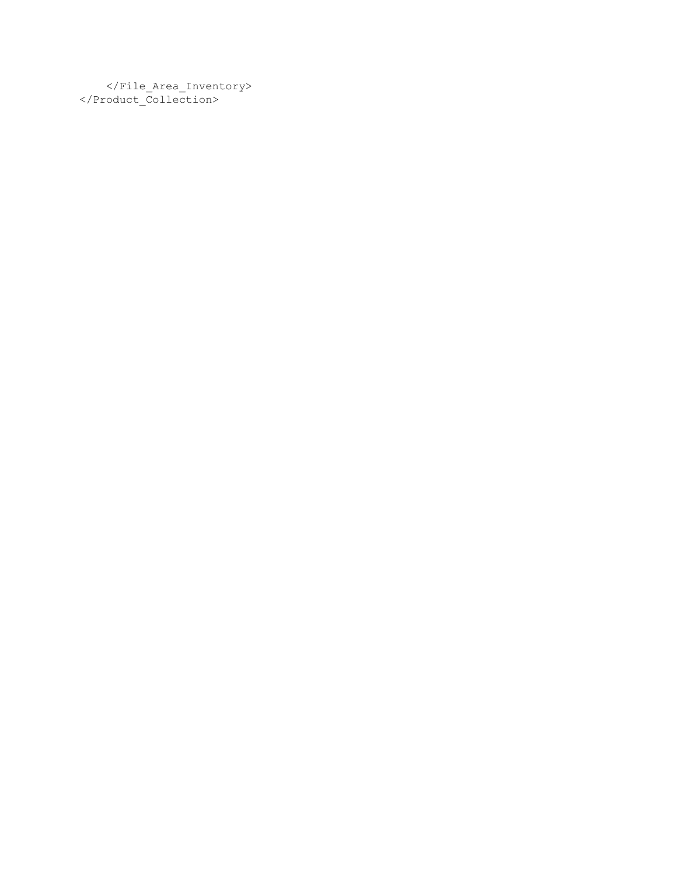</File\_Area\_Inventory> </Product\_Collection>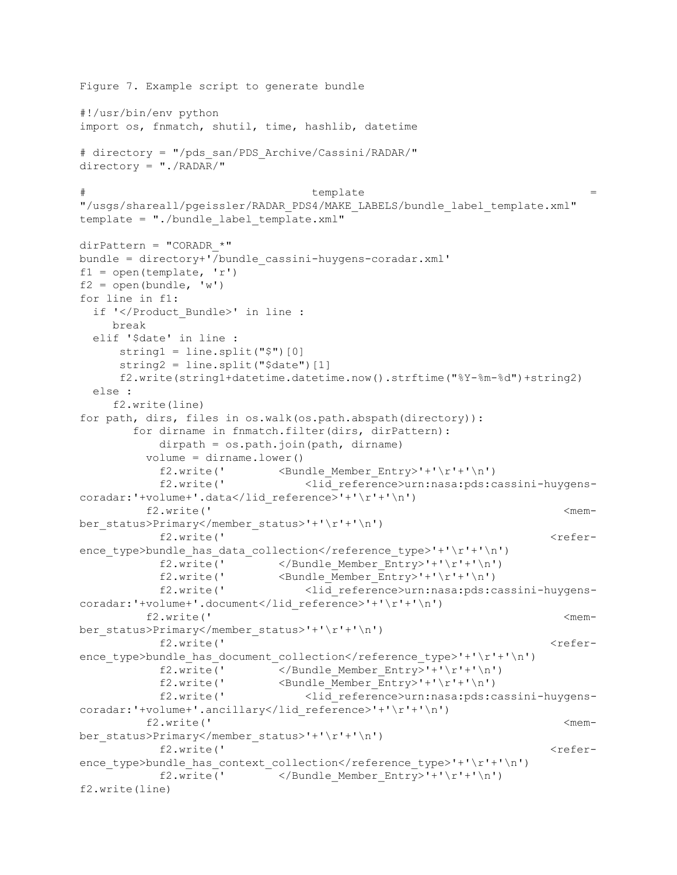```
Figure 7. Example script to generate bundle
#!/usr/bin/env python
import os, fnmatch, shutil, time, hashlib, datetime
# directory = "/pds_san/PDS_Archive/Cassini/RADAR/"
directory = "./RADAR/"
\# template ="/usgs/shareall/pgeissler/RADAR_PDS4/MAKE_LABELS/bundle_label_template.xml"
template = "./bundle_label_template.xml"
dirPattern = "CORADR *"
bundle = directory+'/bundle_cassini-huygens-coradar.xml'
f1 = open(template, 'r')f2 = open(bundle, 'w')for line in f1:
  if '</Product_Bundle>' in line :
     break
  elif '$date' in line :
     string1 = line.split("$") [0]string2 = line.split("$date")[1]
      f2.write(string1+datetime.datetime.now().strftime("%Y-%m-%d")+string2)
  else :
     f2.write(line)
for path, dirs, files in os.walk(os.path.abspath(directory)):
        for dirname in fnmatch.filter(dirs, dirPattern):
           dirpath = os.path.join(path, dirname)
          volume = dirname.lower()
           f2.write(' <Bundle Member Entry>'+'\r'+'\n')
           f2.write(' <lid reference>urn:nasa:pds:cassini-huygens-
coradar:'+volume+'.data</lid_reference>'+'\r'+'\n')
         f2.write(' \leq \leq \leq \leq \leq \leq \leq \leq \leq \leq \leq \leq \leq \leq \leq \leq \leq \leq \leq \leq \leq \leq \leq \leq \leq \leq \leq \leq \leq \leq \leq \leq \leq \leq \leq ber status>Primary</member status>'+'\r'+'\n')
            f2.write(' <refer-
ence type>bundle has data collection</reference type>'+'\r'+'\n')
           f2.write(' \langle /Bundle Member Entry>'+'\r'+'\n')
           f2.write(' \langle Bundle Member Entry>'+' \r'+'\n')
           f2.write(' <lid reference>urn:nasa:pds:cassini-huygens-
coradar:'+volume+'.document</lid_reference>'+'\r'+'\n')
         f2.write(' \leq \leq \leq \leq \leq \leq \leq \leq \leq \leq \leq \leq \leq \leq \leq \leq \leq \leq \leq \leq \leq \leq \leq \leq \leq \leq \leq \leq \leq \leq \leq \leq \leq \leq \leq ber status>Primary</member status>'+'\r'+'\n')
            f2.write(' <refer-
ence type>bundle has document collection</reference type>'+'\r'+'\n')
           f2.write(' \langle/Bundle Member Entry>'+'\r'+'\n')
           f2.write(' <Bundle Member Entry>'+'\r'+'\n')
           f2.write(' <lid reference>urn:nasa:pds:cassini-huygens-
coradar:'+volume+'.ancillary</lid_reference>'+'\r'+'\n')
          f2.write(' <mem-
ber status>Primary</member status>'+'\r'+'\n')
            f2.write(' <refer-
ence type>bundle has context collection</reference type>'+'\r'+'\n')
           f2.write(' \langle/Bundle Member Entry>'+'\r'+'\n')
f2.write(line)
```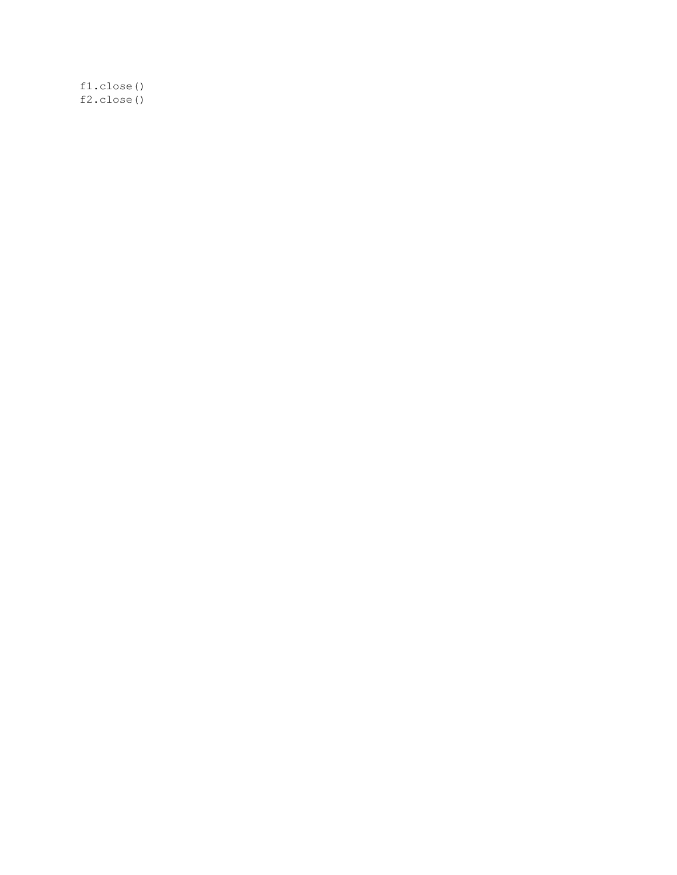f1.close() f2.close()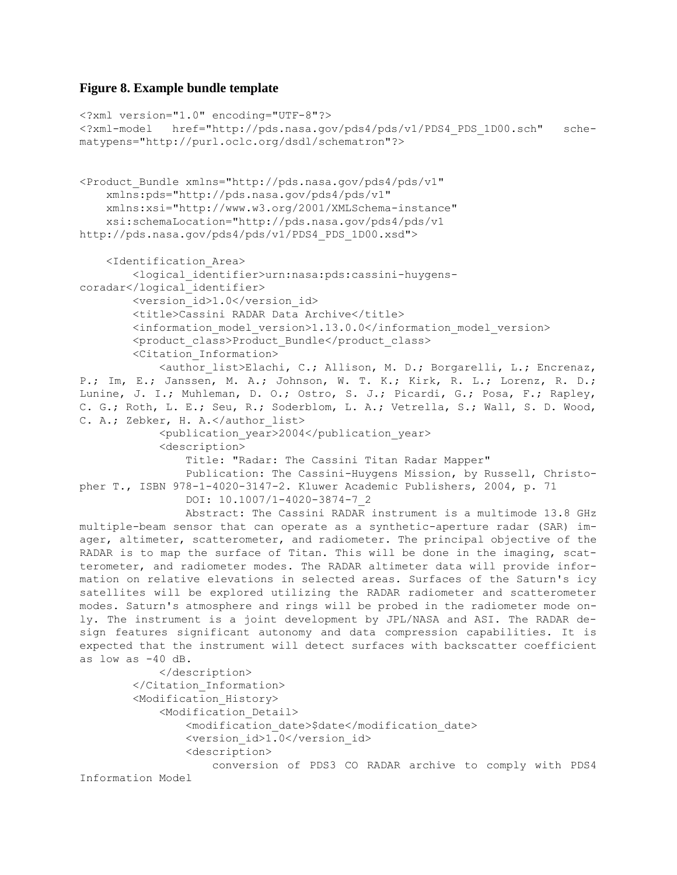# **Figure 8. Example bundle template**

```
<?xml version="1.0" encoding="UTF-8"?>
<?xml-model href="http://pds.nasa.gov/pds4/pds/v1/PDS4_PDS_1D00.sch" sche-
matypens="http://purl.oclc.org/dsdl/schematron"?>
<Product_Bundle xmlns="http://pds.nasa.gov/pds4/pds/v1"
     xmlns:pds="http://pds.nasa.gov/pds4/pds/v1"
     xmlns:xsi="http://www.w3.org/2001/XMLSchema-instance"
     xsi:schemaLocation="http://pds.nasa.gov/pds4/pds/v1 
http://pds.nasa.gov/pds4/pds/v1/PDS4_PDS_1D00.xsd">
     <Identification_Area>
         <logical_identifier>urn:nasa:pds:cassini-huygens-
coradar</logical_identifier>
       <version_id>1.0</version_id>
         <title>Cassini RADAR Data Archive</title>
         <information_model_version>1.13.0.0</information_model_version> 
         <product_class>Product_Bundle</product_class>
         <Citation_Information> 
             <author_list>Elachi, C.; Allison, M. D.; Borgarelli, L.; Encrenaz,
P.; Im, E.; Janssen, M. A.; Johnson, W. T. K.; Kirk, R. L.; Lorenz, R. D.; 
Lunine, J. I.; Muhleman, D. O.; Ostro, S. J.; Picardi, G.; Posa, F.; Rapley, 
C. G.; Roth, L. E.; Seu, R.; Soderblom, L. A.; Vetrella, S.; Wall, S. D. Wood,
C. A.; Zebker, H. A.</author list>
             <publication_year>2004</publication_year>
             <description>
                 Title: "Radar: The Cassini Titan Radar Mapper"
                 Publication: The Cassini-Huygens Mission, by Russell, Christo-
pher T., ISBN 978-1-4020-3147-2. Kluwer Academic Publishers, 2004, p. 71
                 DOI: 10.1007/1-4020-3874-7_2
                 Abstract: The Cassini RADAR instrument is a multimode 13.8 GHz
multiple-beam sensor that can operate as a synthetic-aperture radar (SAR) im-
ager, altimeter, scatterometer, and radiometer. The principal objective of the
RADAR is to map the surface of Titan. This will be done in the imaging, scat-
terometer, and radiometer modes. The RADAR altimeter data will provide infor-
mation on relative elevations in selected areas. Surfaces of the Saturn's icy 
satellites will be explored utilizing the RADAR radiometer and scatterometer 
modes. Saturn's atmosphere and rings will be probed in the radiometer mode on-
ly. The instrument is a joint development by JPL/NASA and ASI. The RADAR de-
sign features significant autonomy and data compression capabilities. It is 
expected that the instrument will detect surfaces with backscatter coefficient
as low as -40 dB.
             </description>
        </Citation_Information>
         <Modification_History>
             <Modification_Detail>
                 <modification_date>$date</modification_date>
                 <version_id>1.0</version_id>
                 <description>
                     conversion of PDS3 CO RADAR archive to comply with PDS4 
Information Model
```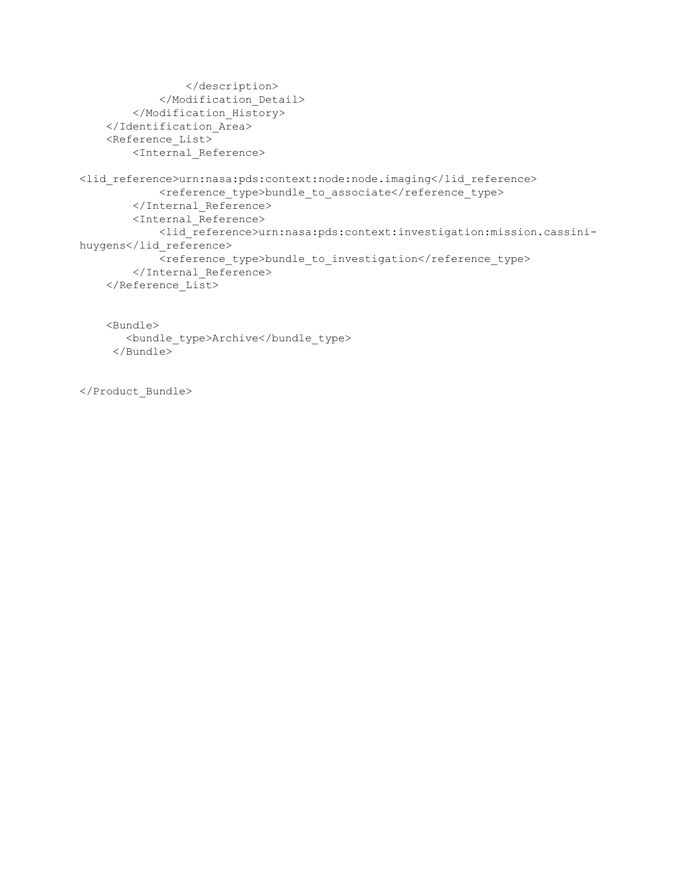```
 </description>
             </Modification_Detail>
         </Modification_History>
     </Identification_Area>
     <Reference_List>
         <Internal_Reference>
<lid_reference>urn:nasa:pds:context:node:node.imaging</lid_reference>
            <reference_type>bundle_to_associate</reference_type>
         </Internal_Reference>
         <Internal_Reference>
             <lid_reference>urn:nasa:pds:context:investigation:mission.cassini-
huygens</lid_reference>
            <reference type>bundle to investigation</reference type>
         </Internal_Reference>
     </Reference_List>
     <Bundle>
        <bundle_type>Archive</bundle_type>
```

```
</Product_Bundle>
```
</Bundle>